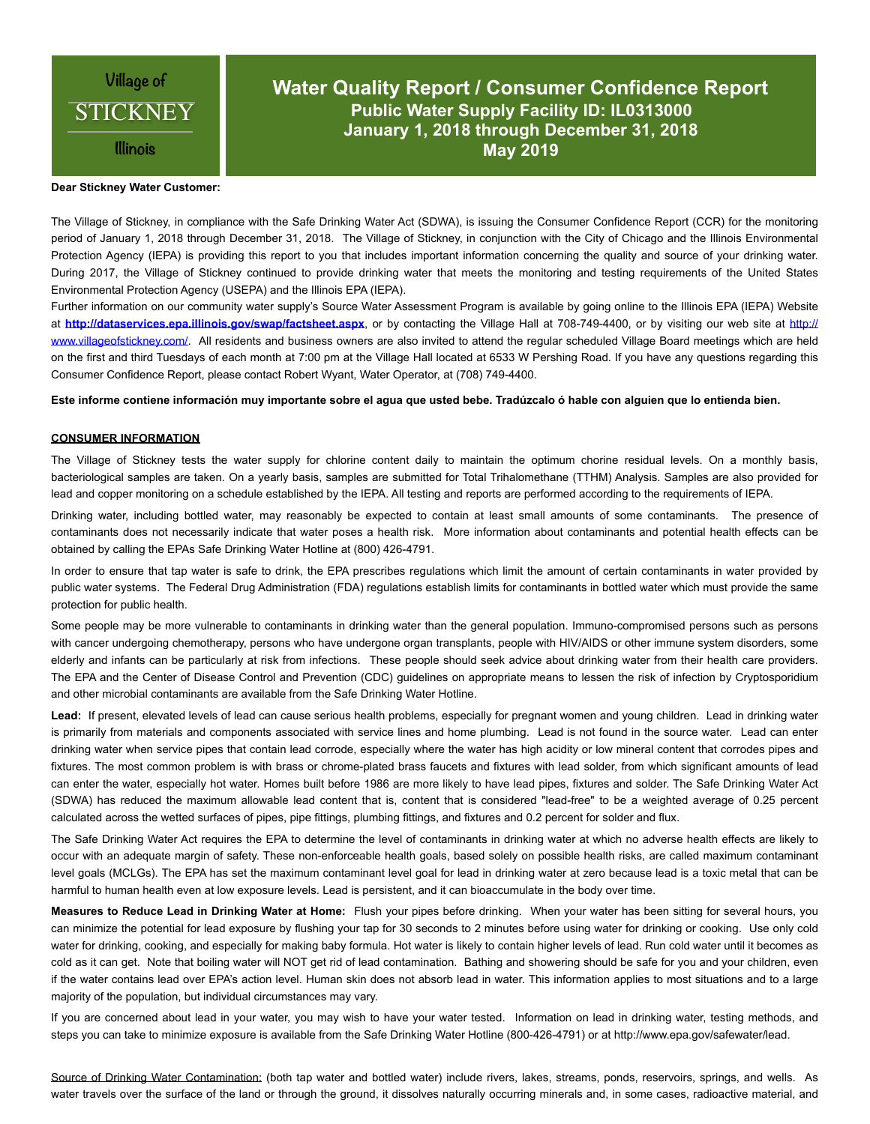

# **Water Quality Report / Consumer Confidence Report Public Water Supply Facility ID: IL0313000 January 1, 2018 through December 31, 2018 May 2019**

## **Dear Stickney Water Customer:**

The Village of Stickney, in compliance with the Safe Drinking Water Act (SDWA), is issuing the Consumer Confidence Report (CCR) for the monitoring period of January 1, 2018 through December 31, 2018. The Village of Stickney, in conjunction with the City of Chicago and the Illinois Environmental Protection Agency (IEPA) is providing this report to you that includes important information concerning the quality and source of your drinking water. During 2017, the Village of Stickney continued to provide drinking water that meets the monitoring and testing requirements of the United States Environmental Protection Agency (USEPA) and the Illinois EPA (IEPA).

Further information on our community water supply's Source Water Assessment Program is available by going online to the Illinois EPA (IEPA) Website at **<http://dataservices.epa.illinois.gov/swap/factsheet.aspx>**, or by contacting the Village Hall at 708-749-4400, or by visiting our web site at [http://](http://www.villageofstickney.com/) [www.villageofstickney.com/](http://www.villageofstickney.com/). All residents and business owners are also invited to attend the regular scheduled Village Board meetings which are held on the first and third Tuesdays of each month at 7:00 pm at the Village Hall located at 6533 W Pershing Road. If you have any questions regarding this Consumer Confidence Report, please contact Robert Wyant, Water Operator, at (708) 749-4400.

**Este informe contiene información muy importante sobre el agua que usted bebe. Tradúzcalo ó hable con alguien que lo entienda bien.** 

## **CONSUMER INFORMATION**

The Village of Stickney tests the water supply for chlorine content daily to maintain the optimum chorine residual levels. On a monthly basis, bacteriological samples are taken. On a yearly basis, samples are submitted for Total Trihalomethane (TTHM) Analysis. Samples are also provided for lead and copper monitoring on a schedule established by the IEPA. All testing and reports are performed according to the requirements of IEPA.

Drinking water, including bottled water, may reasonably be expected to contain at least small amounts of some contaminants. The presence of contaminants does not necessarily indicate that water poses a health risk. More information about contaminants and potential health effects can be obtained by calling the EPAs Safe Drinking Water Hotline at (800) 426-4791.

In order to ensure that tap water is safe to drink, the EPA prescribes regulations which limit the amount of certain contaminants in water provided by public water systems. The Federal Drug Administration (FDA) regulations establish limits for contaminants in bottled water which must provide the same protection for public health.

Some people may be more vulnerable to contaminants in drinking water than the general population. Immuno-compromised persons such as persons with cancer undergoing chemotherapy, persons who have undergone organ transplants, people with HIV/AIDS or other immune system disorders, some elderly and infants can be particularly at risk from infections. These people should seek advice about drinking water from their health care providers. The EPA and the Center of Disease Control and Prevention (CDC) guidelines on appropriate means to lessen the risk of infection by Cryptosporidium and other microbial contaminants are available from the Safe Drinking Water Hotline.

**Lead:** If present, elevated levels of lead can cause serious health problems, especially for pregnant women and young children. Lead in drinking water is primarily from materials and components associated with service lines and home plumbing. Lead is not found in the source water. Lead can enter drinking water when service pipes that contain lead corrode, especially where the water has high acidity or low mineral content that corrodes pipes and fixtures. The most common problem is with brass or chrome-plated brass faucets and fixtures with lead solder, from which significant amounts of lead can enter the water, especially hot water. Homes built before 1986 are more likely to have lead pipes, fixtures and solder. The Safe Drinking Water Act (SDWA) has reduced the maximum allowable lead content that is, content that is considered "lead-free" to be a weighted average of 0.25 percent calculated across the wetted surfaces of pipes, pipe fittings, plumbing fittings, and fixtures and 0.2 percent for solder and flux.

The Safe Drinking Water Act requires the EPA to determine the level of contaminants in drinking water at which no adverse health effects are likely to occur with an adequate margin of safety. These non-enforceable health goals, based solely on possible health risks, are called maximum contaminant level goals (MCLGs). The EPA has set the maximum contaminant level goal for lead in drinking water at zero because lead is a toxic metal that can be harmful to human health even at low exposure levels. Lead is persistent, and it can bioaccumulate in the body over time.

**Measures to Reduce Lead in Drinking Water at Home:** Flush your pipes before drinking. When your water has been sitting for several hours, you can minimize the potential for lead exposure by flushing your tap for 30 seconds to 2 minutes before using water for drinking or cooking. Use only cold water for drinking, cooking, and especially for making baby formula. Hot water is likely to contain higher levels of lead. Run cold water until it becomes as cold as it can get. Note that boiling water will NOT get rid of lead contamination. Bathing and showering should be safe for you and your children, even if the water contains lead over EPA's action level. Human skin does not absorb lead in water. This information applies to most situations and to a large majority of the population, but individual circumstances may vary.

If you are concerned about lead in your water, you may wish to have your water tested. Information on lead in drinking water, testing methods, and steps you can take to minimize exposure is available from the Safe Drinking Water Hotline (800-426-4791) or at http://www.epa.gov/safewater/lead.

Source of Drinking Water Contamination: (both tap water and bottled water) include rivers, lakes, streams, ponds, reservoirs, springs, and wells. As water travels over the surface of the land or through the ground, it dissolves naturally occurring minerals and, in some cases, radioactive material, and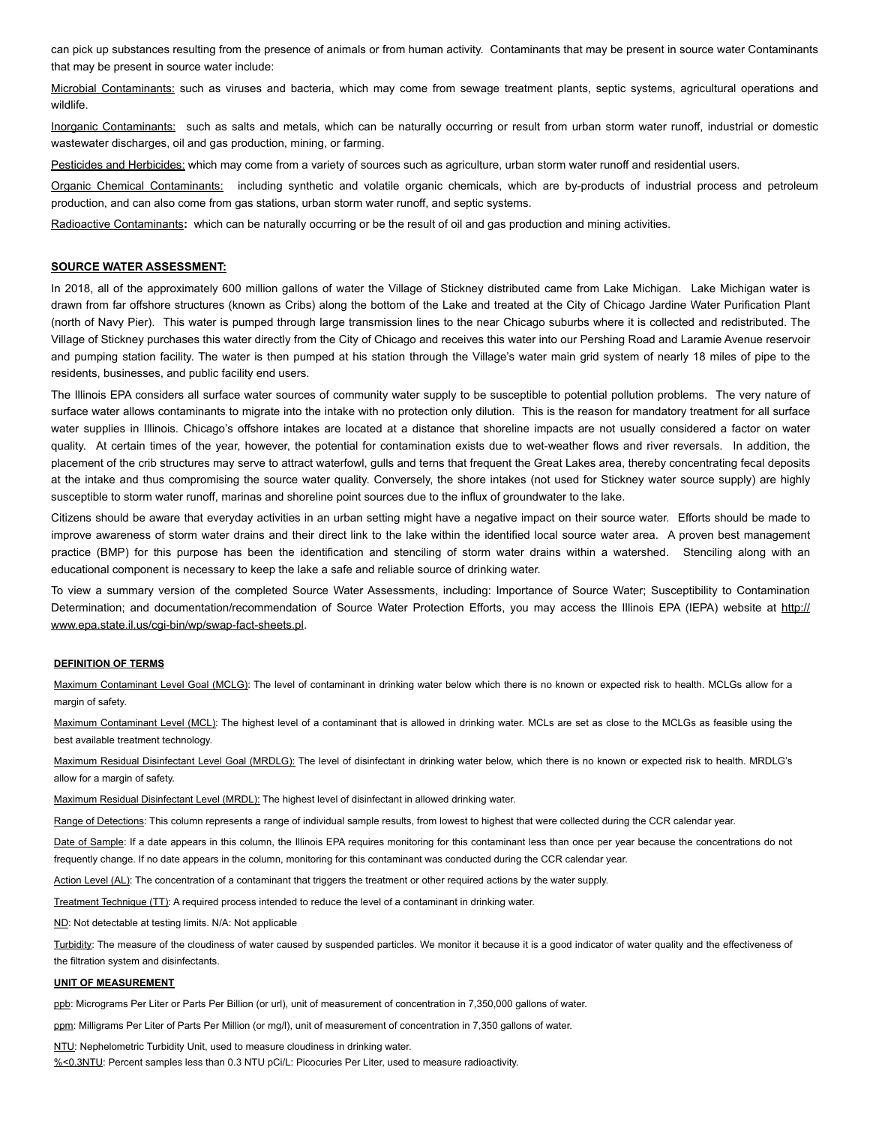can pick up substances resulting from the presence of animals or from human activity. Contaminants that may be present in source water Contaminants that may be present in source water include:

Microbial Contaminants: such as viruses and bacteria, which may come from sewage treatment plants, septic systems, agricultural operations and wildlife.

Inorganic Contaminants:such as salts and metals, which can be naturally occurring or result from urban storm water runoff, industrial or domestic wastewater discharges, oil and gas production, mining, or farming.

Pesticides and Herbicides: which may come from a variety of sources such as agriculture, urban storm water runoff and residential users.

Organic Chemical Contaminants:including synthetic and volatile organic chemicals, which are by-products of industrial process and petroleum production, and can also come from gas stations, urban storm water runoff, and septic systems.

Radioactive Contaminants**:** which can be naturally occurring or be the result of oil and gas production and mining activities.

## **SOURCE WATER ASSESSMENT:**

In 2018, all of the approximately 600 million gallons of water the Village of Stickney distributed came from Lake Michigan. Lake Michigan water is drawn from far offshore structures (known as Cribs) along the bottom of the Lake and treated at the City of Chicago Jardine Water Purification Plant (north of Navy Pier). This water is pumped through large transmission lines to the near Chicago suburbs where it is collected and redistributed. The Village of Stickney purchases this water directly from the City of Chicago and receives this water into our Pershing Road and Laramie Avenue reservoir and pumping station facility. The water is then pumped at his station through the Village's water main grid system of nearly 18 miles of pipe to the residents, businesses, and public facility end users.

The Illinois EPA considers all surface water sources of community water supply to be susceptible to potential pollution problems. The very nature of surface water allows contaminants to migrate into the intake with no protection only dilution. This is the reason for mandatory treatment for all surface water supplies in Illinois. Chicago's offshore intakes are located at a distance that shoreline impacts are not usually considered a factor on water quality. At certain times of the year, however, the potential for contamination exists due to wet-weather flows and river reversals. In addition, the placement of the crib structures may serve to attract waterfowl, gulls and terns that frequent the Great Lakes area, thereby concentrating fecal deposits at the intake and thus compromising the source water quality. Conversely, the shore intakes (not used for Stickney water source supply) are highly susceptible to storm water runoff, marinas and shoreline point sources due to the influx of groundwater to the lake.

Citizens should be aware that everyday activities in an urban setting might have a negative impact on their source water. Efforts should be made to improve awareness of storm water drains and their direct link to the lake within the identified local source water area. A proven best management practice (BMP) for this purpose has been the identification and stenciling of storm water drains within a watershed. Stenciling along with an educational component is necessary to keep the lake a safe and reliable source of drinking water.

To view a summary version of the completed Source Water Assessments, including: Importance of Source Water; Susceptibility to Contamination Determination; and documentation/recommendation of Source Water Protection Efforts, you may access the Illinois EPA (IEPA) website at [http://](http://www.epa.state.il.us/cgi-bin/wp/swap-fact-sheets.pl) [www.epa.state.il.us/cgi-bin/wp/swap-fact-sheets.pl.](http://www.epa.state.il.us/cgi-bin/wp/swap-fact-sheets.pl)

#### **DEFINITION OF TERMS**

Maximum Contaminant Level Goal (MCLG): The level of contaminant in drinking water below which there is no known or expected risk to health. MCLGs allow for a margin of safety.

Maximum Contaminant Level (MCL): The highest level of a contaminant that is allowed in drinking water. MCLs are set as close to the MCLGs as feasible using the best available treatment technology.

Maximum Residual Disinfectant Level Goal (MRDLG): The level of disinfectant in drinking water below, which there is no known or expected risk to health. MRDLG's allow for a margin of safety.

Maximum Residual Disinfectant Level (MRDL): The highest level of disinfectant in allowed drinking water.

Range of Detections: This column represents a range of individual sample results, from lowest to highest that were collected during the CCR calendar year.

Date of Sample: If a date appears in this column, the Illinois EPA requires monitoring for this contaminant less than once per year because the concentrations do not frequently change. If no date appears in the column, monitoring for this contaminant was conducted during the CCR calendar year.

Action Level (AL): The concentration of a contaminant that triggers the treatment or other required actions by the water supply.

Treatment Technique (TT): A required process intended to reduce the level of a contaminant in drinking water.

ND: Not detectable at testing limits. N/A: Not applicable

Turbidity: The measure of the cloudiness of water caused by suspended particles. We monitor it because it is a good indicator of water quality and the effectiveness of the filtration system and disinfectants.

### **UNIT OF MEASUREMENT**

ppb: Micrograms Per Liter or Parts Per Billion (or url), unit of measurement of concentration in 7,350,000 gallons of water.

ppm: Milligrams Per Liter of Parts Per Million (or mg/l), unit of measurement of concentration in 7,350 gallons of water.

NTU: Nephelometric Turbidity Unit, used to measure cloudiness in drinking water. %<0.3NTU: Percent samples less than 0.3 NTU pCi/L: Picocuries Per Liter, used to measure radioactivity.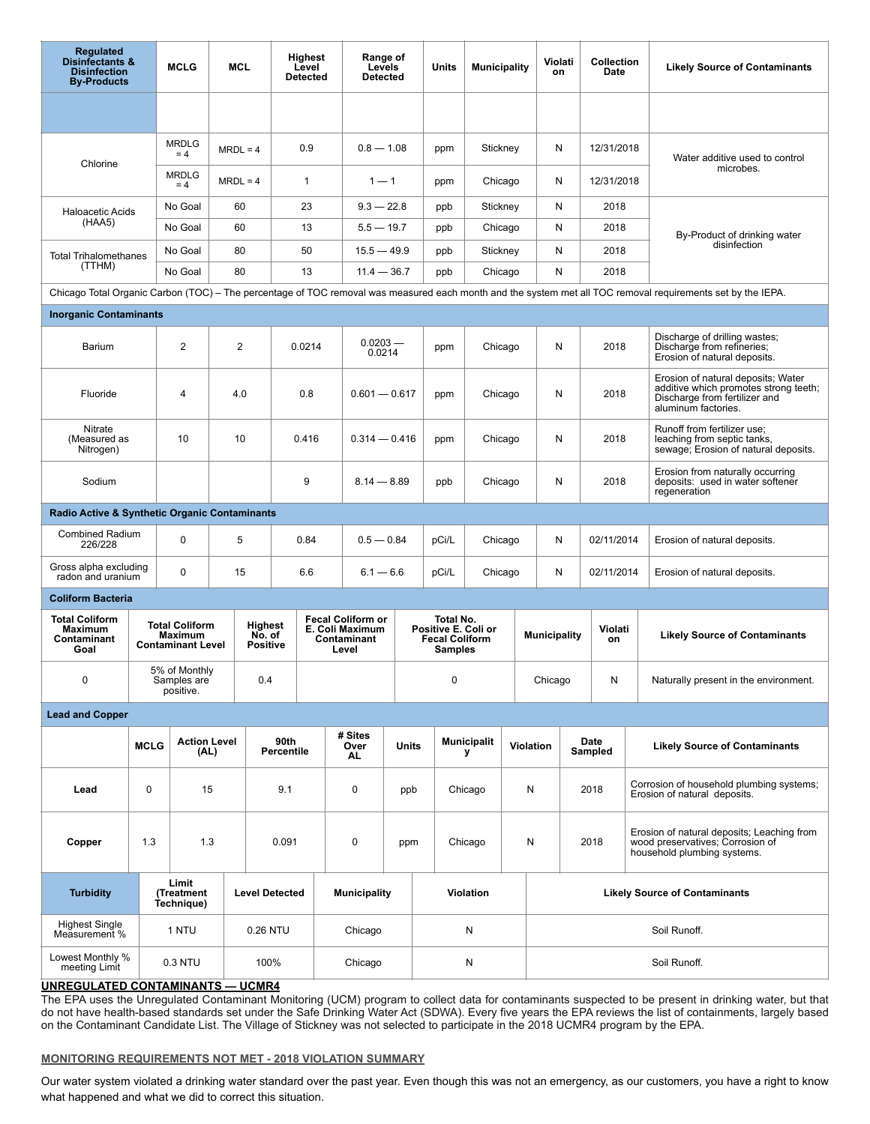| <b>Regulated</b><br><b>Disinfectants &amp;</b><br><b>Disinfection</b><br><b>By-Products</b>                                                                 | <b>MCLG</b><br><b>MCL</b>                 |                                   |                                                              | Highest<br>Level<br><b>Detected</b> |                                             | Range of<br>Levels<br><b>Detected</b> |                                                                     |               | <b>Units</b><br><b>Municipality</b> |                         |                                                                             | Violati<br>on |                     | <b>Collection</b><br>Date            |                 | <b>Likely Source of Contaminants</b>                                                                          |                                                                                                                                     |  |
|-------------------------------------------------------------------------------------------------------------------------------------------------------------|-------------------------------------------|-----------------------------------|--------------------------------------------------------------|-------------------------------------|---------------------------------------------|---------------------------------------|---------------------------------------------------------------------|---------------|-------------------------------------|-------------------------|-----------------------------------------------------------------------------|---------------|---------------------|--------------------------------------|-----------------|---------------------------------------------------------------------------------------------------------------|-------------------------------------------------------------------------------------------------------------------------------------|--|
|                                                                                                                                                             |                                           |                                   |                                                              |                                     |                                             |                                       |                                                                     |               |                                     |                         |                                                                             |               |                     |                                      |                 |                                                                                                               |                                                                                                                                     |  |
| Chlorine                                                                                                                                                    |                                           | <b>MRDLG</b><br>$= 4$             | $MRDL = 4$                                                   |                                     | 0.9                                         |                                       | $0.8 - 1.08$                                                        |               | ppm                                 |                         | Stickney                                                                    |               | N                   | 12/31/2018                           |                 |                                                                                                               | Water additive used to control                                                                                                      |  |
|                                                                                                                                                             |                                           | <b>MRDLG</b><br>$= 4$             | $MRDL = 4$                                                   |                                     | $\mathbf{1}$                                | $1 - 1$                               |                                                                     |               | ppm                                 |                         | Chicago                                                                     |               | N                   |                                      | 12/31/2018      |                                                                                                               | microbes.                                                                                                                           |  |
| <b>Haloacetic Acids</b>                                                                                                                                     |                                           | No Goal                           | 60                                                           |                                     | 23                                          |                                       | $9.3 - 22.8$                                                        |               | ppb                                 |                         | Stickney                                                                    |               | N                   |                                      | 2018            |                                                                                                               |                                                                                                                                     |  |
| (HAA5)                                                                                                                                                      |                                           | No Goal                           | 60                                                           |                                     | 13                                          |                                       | $5.5 - 19.7$                                                        |               | ppb                                 |                         | Chicago                                                                     |               | N                   |                                      | 2018            |                                                                                                               | By-Product of drinking water                                                                                                        |  |
| <b>Total Trihalomethanes</b>                                                                                                                                |                                           | No Goal                           | 80                                                           |                                     | 50                                          | $15.5 - 49.9$                         |                                                                     |               | ppb                                 |                         |                                                                             | Stickney      |                     |                                      | 2018            | disinfection                                                                                                  |                                                                                                                                     |  |
| (TTHM)                                                                                                                                                      |                                           | No Goal                           | 80                                                           |                                     | 13                                          |                                       |                                                                     | $11.4 - 36.7$ |                                     | ppb                     | Chicago                                                                     |               | N                   | 2018                                 |                 |                                                                                                               |                                                                                                                                     |  |
| Chicago Total Organic Carbon (TOC) – The percentage of TOC removal was measured each month and the system met all TOC removal requirements set by the IEPA. |                                           |                                   |                                                              |                                     |                                             |                                       |                                                                     |               |                                     |                         |                                                                             |               |                     |                                      |                 |                                                                                                               |                                                                                                                                     |  |
| <b>Inorganic Contaminants</b>                                                                                                                               |                                           |                                   |                                                              |                                     |                                             |                                       |                                                                     |               |                                     |                         |                                                                             |               |                     |                                      |                 |                                                                                                               |                                                                                                                                     |  |
| Barium                                                                                                                                                      |                                           |                                   | $\overline{2}$                                               |                                     | 0.0214                                      |                                       | $0.0203 -$<br>0.0214                                                |               | ppm                                 |                         | Chicago                                                                     |               | N                   |                                      | 2018            |                                                                                                               | Discharge of drilling wastes;<br>Discharge from refineries;<br>Erosion of natural deposits.                                         |  |
| Fluoride                                                                                                                                                    |                                           | 4                                 | 4.0                                                          |                                     | 0.8                                         | $0.601 - 0.617$                       |                                                                     |               | ppm                                 |                         | Chicago                                                                     |               | N                   |                                      | 2018            |                                                                                                               | Erosion of natural deposits; Water<br>additive which promotes strong teeth;<br>Discharge from fertilizer and<br>aluminum factories. |  |
| Nitrate<br>(Measured as<br>Nitrogen)                                                                                                                        | 10                                        |                                   |                                                              | 10<br>0.416                         |                                             |                                       | $0.314 - 0.416$                                                     |               | ppm                                 |                         | Chicago                                                                     |               | N                   |                                      | 2018            |                                                                                                               | Runoff from fertilizer use;<br>leaching from septic tanks.<br>sewage; Erosion of natural deposits.                                  |  |
| Sodium                                                                                                                                                      |                                           |                                   |                                                              |                                     | 9                                           |                                       | $8.14 - 8.89$                                                       |               | ppb                                 |                         | Chicago                                                                     |               | N                   |                                      | 2018            |                                                                                                               | Erosion from naturally occurring<br>deposits: used in water softener<br>regeneration                                                |  |
| Radio Active & Synthetic Organic Contaminants                                                                                                               |                                           |                                   |                                                              |                                     |                                             |                                       |                                                                     |               |                                     |                         |                                                                             |               |                     |                                      |                 |                                                                                                               |                                                                                                                                     |  |
| <b>Combined Radium</b><br>226/228                                                                                                                           |                                           | 0                                 | 5                                                            |                                     | 0.84                                        |                                       | $0.5 - 0.84$                                                        |               | pCi/L                               |                         | Chicago                                                                     |               | N                   |                                      | 02/11/2014      |                                                                                                               | Erosion of natural deposits.                                                                                                        |  |
| Gross alpha excluding<br>radon and uranium                                                                                                                  |                                           | $\Omega$                          | 15                                                           |                                     | 6.6                                         | $6.1 - 6.6$                           |                                                                     |               | pCi/L                               |                         | Chicago                                                                     |               | N                   | 02/11/2014                           |                 |                                                                                                               | Erosion of natural deposits.                                                                                                        |  |
| <b>Coliform Bacteria</b>                                                                                                                                    |                                           |                                   |                                                              |                                     |                                             |                                       |                                                                     |               |                                     |                         |                                                                             |               |                     |                                      |                 |                                                                                                               |                                                                                                                                     |  |
| <b>Total Coliform</b><br><b>Maximum</b><br>Contaminant<br>Goal                                                                                              |                                           |                                   | <b>Total Coliform</b><br>Maximum<br><b>Contaminant Level</b> |                                     | <b>Highest</b><br>No. of<br><b>Positive</b> |                                       | <b>Fecal Coliform or</b><br>E. Coli Maximum<br>Contaminant<br>Level |               |                                     |                         | Total No.<br>Positive E. Coli or<br><b>Fecal Coliform</b><br><b>Samples</b> |               | <b>Municipality</b> |                                      | Violati<br>on   |                                                                                                               | <b>Likely Source of Contaminants</b>                                                                                                |  |
| 0                                                                                                                                                           | 5% of Monthly<br>Samples are<br>positive. |                                   | 0.4                                                          |                                     |                                             |                                       |                                                                     |               |                                     | 0                       |                                                                             | Chicago       |                     |                                      | N               |                                                                                                               | Naturally present in the environment.                                                                                               |  |
| <b>Lead and Copper</b>                                                                                                                                      |                                           |                                   |                                                              |                                     |                                             |                                       |                                                                     |               |                                     |                         |                                                                             |               |                     |                                      |                 |                                                                                                               |                                                                                                                                     |  |
|                                                                                                                                                             | <b>MCLG</b>                               | <b>Action Level</b><br>(AL)       |                                                              | 90th<br><b>Percentile</b>           |                                             | # Sites<br>Over<br>AL                 |                                                                     | <b>Units</b>  |                                     | <b>Municipalit</b><br>У |                                                                             | Violation     |                     |                                      | Date<br>Sampled |                                                                                                               | <b>Likely Source of Contaminants</b>                                                                                                |  |
| Lead                                                                                                                                                        | 0                                         | 15                                |                                                              | 9.1                                 |                                             |                                       | $\pmb{0}$<br>ppb                                                    |               |                                     | Chicago                 |                                                                             | N             |                     |                                      | 2018            | Corrosion of household plumbing systems;<br>Erosion of natural deposits.                                      |                                                                                                                                     |  |
| Copper                                                                                                                                                      | 1.3                                       | 1.3                               |                                                              | 0.091                               |                                             |                                       | 0<br>ppm                                                            |               | Chicago                             |                         |                                                                             | N             |                     | 2018                                 |                 | Erosion of natural deposits; Leaching from<br>wood preservatives; Corrosion of<br>household plumbing systems. |                                                                                                                                     |  |
| <b>Turbidity</b>                                                                                                                                            |                                           | Limit<br>(Treatment<br>Technique) |                                                              | <b>Level Detected</b>               |                                             | <b>Municipality</b>                   |                                                                     |               |                                     |                         | Violation                                                                   |               |                     | <b>Likely Source of Contaminants</b> |                 |                                                                                                               |                                                                                                                                     |  |
| <b>Highest Single</b><br>Measurement %                                                                                                                      |                                           | 1 NTU                             |                                                              | 0.26 NTU                            |                                             | Chicago                               |                                                                     |               |                                     |                         | N                                                                           |               | Soil Runoff.        |                                      |                 |                                                                                                               |                                                                                                                                     |  |
| Lowest Monthly %<br>meeting Limit<br>INDEAILLATER CONTAMINANTO                                                                                              |                                           | 0.3 NTU                           |                                                              | 100%<br>1101104                     |                                             | Chicago                               |                                                                     |               | N                                   |                         |                                                                             |               | Soil Runoff.        |                                      |                 |                                                                                                               |                                                                                                                                     |  |

## **UNREGULATED CONTAMINANTS — UCMR4**

The EPA uses the Unregulated Contaminant Monitoring (UCM) program to collect data for contaminants suspected to be present in drinking water, but that do not have health-based standards set under the Safe Drinking Water Act (SDWA). Every five years the EPA reviews the list of containments, largely based on the Contaminant Candidate List. The Village of Stickney was not selected to participate in the 2018 UCMR4 program by the EPA.

## **MONITORING REQUIREMENTS NOT MET - 2018 VIOLATION SUMMARY**

Our water system violated a drinking water standard over the past year. Even though this was not an emergency, as our customers, you have a right to know what happened and what we did to correct this situation.